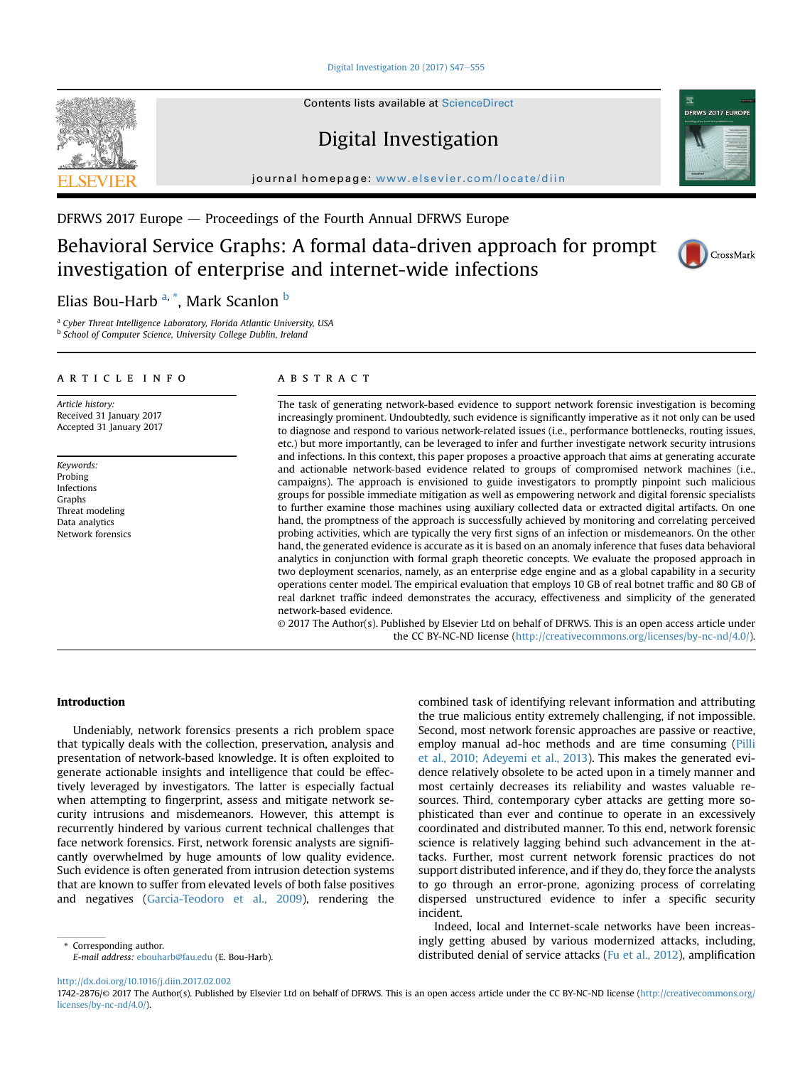[Digital Investigation 20 \(2017\) S47](http://dx.doi.org/10.1016/j.diin.2017.02.002)-[S55](http://dx.doi.org/10.1016/j.diin.2017.02.002)



#### Contents lists available at [ScienceDirect](www.sciencedirect.com/science/journal/17422876)

# Digital Investigation

journal homepage: <www.elsevier.com/locate/diin>



CrossMark

## DFRWS 2017 Europe  $-$  Proceedings of the Fourth Annual DFRWS Europe

Behavioral Service Graphs: A formal data-driven approach for prompt investigation of enterprise and internet-wide infections



<sup>a</sup> Cyber Threat Intelligence Laboratory, Florida Atlantic University, USA b School of Computer Science, University College Dublin, Ireland

#### article info

Article history: Received 31 January 2017 Accepted 31 January 2017

Keywords: Probing Infections Graphs Threat modeling Data analytics Network forensics

## ABSTRACT

The task of generating network-based evidence to support network forensic investigation is becoming increasingly prominent. Undoubtedly, such evidence is significantly imperative as it not only can be used to diagnose and respond to various network-related issues (i.e., performance bottlenecks, routing issues, etc.) but more importantly, can be leveraged to infer and further investigate network security intrusions and infections. In this context, this paper proposes a proactive approach that aims at generating accurate and actionable network-based evidence related to groups of compromised network machines (i.e., campaigns). The approach is envisioned to guide investigators to promptly pinpoint such malicious groups for possible immediate mitigation as well as empowering network and digital forensic specialists to further examine those machines using auxiliary collected data or extracted digital artifacts. On one hand, the promptness of the approach is successfully achieved by monitoring and correlating perceived probing activities, which are typically the very first signs of an infection or misdemeanors. On the other hand, the generated evidence is accurate as it is based on an anomaly inference that fuses data behavioral analytics in conjunction with formal graph theoretic concepts. We evaluate the proposed approach in two deployment scenarios, namely, as an enterprise edge engine and as a global capability in a security operations center model. The empirical evaluation that employs 10 GB of real botnet traffic and 80 GB of real darknet traffic indeed demonstrates the accuracy, effectiveness and simplicity of the generated network-based evidence.

© 2017 The Author(s). Published by Elsevier Ltd on behalf of DFRWS. This is an open access article under the CC BY-NC-ND license [\(http://creativecommons.org/licenses/by-nc-nd/4.0/](http://creativecommons.org/licenses/by-nc-nd/4.0/)).

## Introduction

Undeniably, network forensics presents a rich problem space that typically deals with the collection, preservation, analysis and presentation of network-based knowledge. It is often exploited to generate actionable insights and intelligence that could be effectively leveraged by investigators. The latter is especially factual when attempting to fingerprint, assess and mitigate network security intrusions and misdemeanors. However, this attempt is recurrently hindered by various current technical challenges that face network forensics. First, network forensic analysts are significantly overwhelmed by huge amounts of low quality evidence. Such evidence is often generated from intrusion detection systems that are known to suffer from elevated levels of both false positives and negatives ([Garcia-Teodoro et al., 2009](#page-7-0)), rendering the

combined task of identifying relevant information and attributing the true malicious entity extremely challenging, if not impossible. Second, most network forensic approaches are passive or reactive, employ manual ad-hoc methods and are time consuming [\(Pilli](#page-8-0) [et al., 2010; Adeyemi et al., 2013\)](#page-8-0). This makes the generated evidence relatively obsolete to be acted upon in a timely manner and most certainly decreases its reliability and wastes valuable resources. Third, contemporary cyber attacks are getting more sophisticated than ever and continue to operate in an excessively coordinated and distributed manner. To this end, network forensic science is relatively lagging behind such advancement in the attacks. Further, most current network forensic practices do not support distributed inference, and if they do, they force the analysts to go through an error-prone, agonizing process of correlating dispersed unstructured evidence to infer a specific security incident.

Indeed, local and Internet-scale networks have been increasingly getting abused by various modernized attacks, including, distributed denial of service attacks, including,<br>distributed denial of service attacks [\(Fu et al., 2012](#page-7-0)), amplification \* Corresponding application \* Corresponding application \* Corresponding to the Corresponding to the C

E-mail address: [ebouharb@fau.edu](mailto:ebouharb@fau.edu) (E. Bou-Harb).

## <http://dx.doi.org/10.1016/j.diin.2017.02.002>

1742-2876/© 2017 The Author(s). Published by Elsevier Ltd on behalf of DFRWS. This is an open access article under the CC BY-NC-ND license [\(http://creativecommons.org/](http://creativecommons.org/licenses/by-nc-nd/4.0/) [licenses/by-nc-nd/4.0/\)](http://creativecommons.org/licenses/by-nc-nd/4.0/).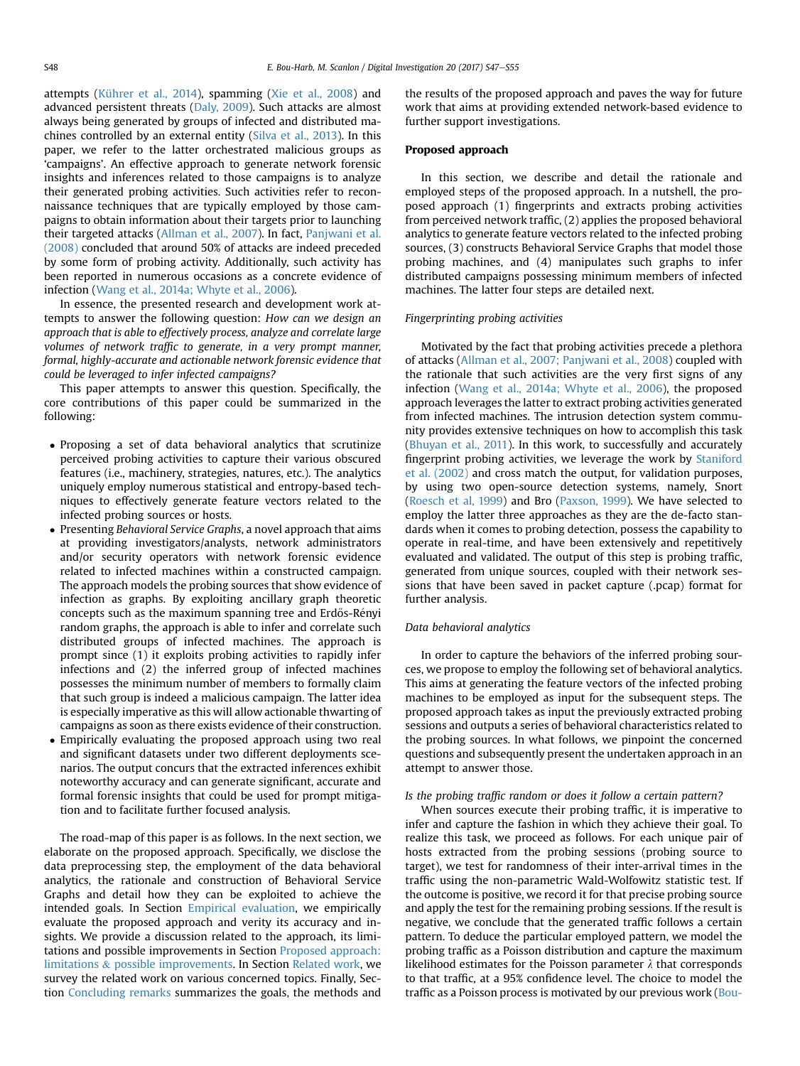<span id="page-1-0"></span>attempts [\(Kührer et al., 2014\)](#page-8-0), spamming [\(Xie et al., 2008\)](#page-8-0) and advanced persistent threats [\(Daly, 2009](#page-7-0)). Such attacks are almost always being generated by groups of infected and distributed machines controlled by an external entity [\(Silva et al., 2013](#page-8-0)). In this paper, we refer to the latter orchestrated malicious groups as 'campaigns'. An effective approach to generate network forensic insights and inferences related to those campaigns is to analyze their generated probing activities. Such activities refer to reconnaissance techniques that are typically employed by those campaigns to obtain information about their targets prior to launching their targeted attacks ([Allman et al., 2007\)](#page-7-0). In fact, [Panjwani et al.](#page-8-0) [\(2008\)](#page-8-0) concluded that around 50% of attacks are indeed preceded by some form of probing activity. Additionally, such activity has been reported in numerous occasions as a concrete evidence of infection ([Wang et al., 2014a; Whyte et al., 2006](#page-8-0)).

In essence, the presented research and development work attempts to answer the following question: How can we design an approach that is able to effectively process, analyze and correlate large volumes of network traffic to generate, in a very prompt manner, formal, highly-accurate and actionable network forensic evidence that could be leveraged to infer infected campaigns?

This paper attempts to answer this question. Specifically, the core contributions of this paper could be summarized in the following:

- Proposing a set of data behavioral analytics that scrutinize perceived probing activities to capture their various obscured features (i.e., machinery, strategies, natures, etc.). The analytics uniquely employ numerous statistical and entropy-based techniques to effectively generate feature vectors related to the infected probing sources or hosts.
- Presenting Behavioral Service Graphs, a novel approach that aims at providing investigators/analysts, network administrators and/or security operators with network forensic evidence related to infected machines within a constructed campaign. The approach models the probing sources that show evidence of infection as graphs. By exploiting ancillary graph theoretic concepts such as the maximum spanning tree and Erdős-Rényi random graphs, the approach is able to infer and correlate such distributed groups of infected machines. The approach is prompt since (1) it exploits probing activities to rapidly infer infections and (2) the inferred group of infected machines possesses the minimum number of members to formally claim that such group is indeed a malicious campaign. The latter idea is especially imperative as this will allow actionable thwarting of campaigns as soon as there exists evidence of their construction.
- Empirically evaluating the proposed approach using two real and significant datasets under two different deployments scenarios. The output concurs that the extracted inferences exhibit noteworthy accuracy and can generate significant, accurate and formal forensic insights that could be used for prompt mitigation and to facilitate further focused analysis.

The road-map of this paper is as follows. In the next section, we elaborate on the proposed approach. Specifically, we disclose the data preprocessing step, the employment of the data behavioral analytics, the rationale and construction of Behavioral Service Graphs and detail how they can be exploited to achieve the intended goals. In Section [Empirical evaluation,](#page-3-0) we empirically evaluate the proposed approach and verity its accuracy and insights. We provide a discussion related to the approach, its limitations and possible improvements in Section [Proposed approach:](#page-6-0) [limitations](#page-6-0) & [possible improvements](#page-6-0). In Section [Related work](#page-6-0), we survey the related work on various concerned topics. Finally, Section [Concluding remarks](#page-7-0) summarizes the goals, the methods and the results of the proposed approach and paves the way for future work that aims at providing extended network-based evidence to further support investigations.

#### Proposed approach

In this section, we describe and detail the rationale and employed steps of the proposed approach. In a nutshell, the proposed approach (1) fingerprints and extracts probing activities from perceived network traffic, (2) applies the proposed behavioral analytics to generate feature vectors related to the infected probing sources, (3) constructs Behavioral Service Graphs that model those probing machines, and (4) manipulates such graphs to infer distributed campaigns possessing minimum members of infected machines. The latter four steps are detailed next.

#### Fingerprinting probing activities

Motivated by the fact that probing activities precede a plethora of attacks [\(Allman et al., 2007; Panjwani et al., 2008\)](#page-7-0) coupled with the rationale that such activities are the very first signs of any infection ([Wang et al., 2014a; Whyte et al., 2006](#page-8-0)), the proposed approach leverages the latter to extract probing activities generated from infected machines. The intrusion detection system community provides extensive techniques on how to accomplish this task ([Bhuyan et al., 2011](#page-7-0)). In this work, to successfully and accurately fingerprint probing activities, we leverage the work by [Staniford](#page-8-0) [et al. \(2002\)](#page-8-0) and cross match the output, for validation purposes, by using two open-source detection systems, namely, Snort ([Roesch et al, 1999](#page-8-0)) and Bro [\(Paxson, 1999\)](#page-8-0). We have selected to employ the latter three approaches as they are the de-facto standards when it comes to probing detection, possess the capability to operate in real-time, and have been extensively and repetitively evaluated and validated. The output of this step is probing traffic, generated from unique sources, coupled with their network sessions that have been saved in packet capture (.pcap) format for further analysis.

## Data behavioral analytics

In order to capture the behaviors of the inferred probing sources, we propose to employ the following set of behavioral analytics. This aims at generating the feature vectors of the infected probing machines to be employed as input for the subsequent steps. The proposed approach takes as input the previously extracted probing sessions and outputs a series of behavioral characteristics related to the probing sources. In what follows, we pinpoint the concerned questions and subsequently present the undertaken approach in an attempt to answer those.

#### Is the probing traffic random or does it follow a certain pattern?

When sources execute their probing traffic, it is imperative to infer and capture the fashion in which they achieve their goal. To realize this task, we proceed as follows. For each unique pair of hosts extracted from the probing sessions (probing source to target), we test for randomness of their inter-arrival times in the traffic using the non-parametric Wald-Wolfowitz statistic test. If the outcome is positive, we record it for that precise probing source and apply the test for the remaining probing sessions. If the result is negative, we conclude that the generated traffic follows a certain pattern. To deduce the particular employed pattern, we model the probing traffic as a Poisson distribution and capture the maximum likelihood estimates for the Poisson parameter  $\lambda$  that corresponds to that traffic, at a 95% confidence level. The choice to model the traffic as a Poisson process is motivated by our previous work [\(Bou-](#page-7-0)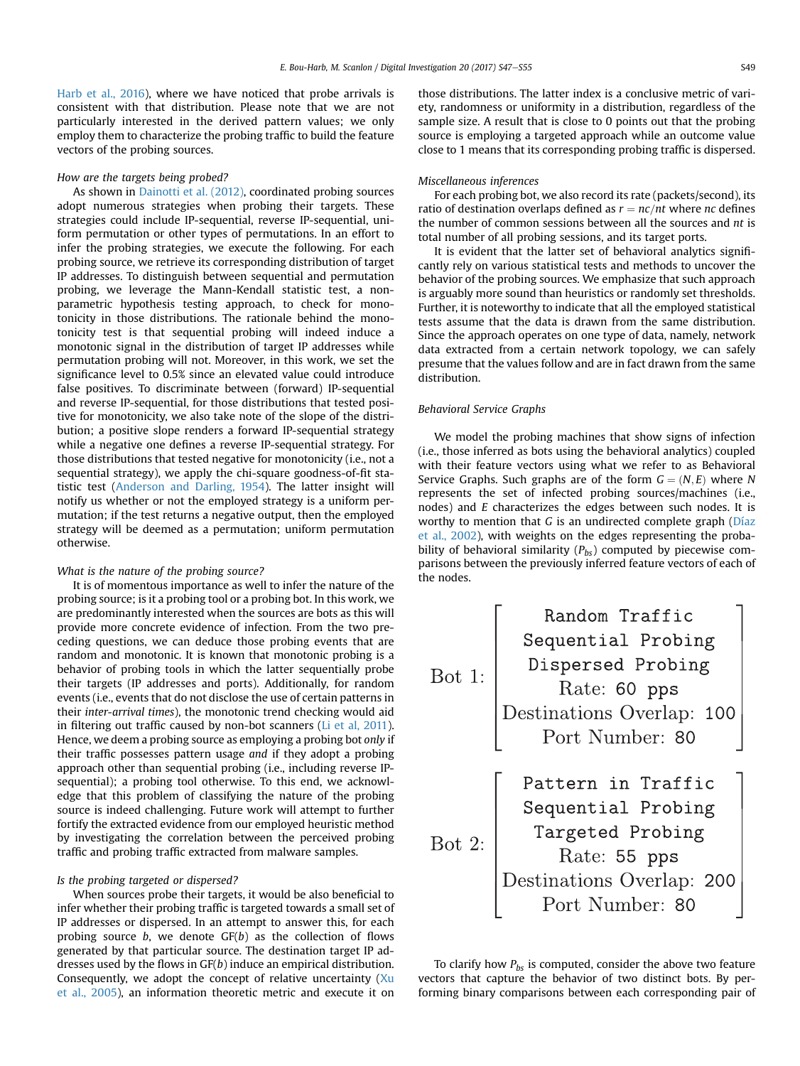<span id="page-2-0"></span>[Harb et al., 2016\)](#page-7-0), where we have noticed that probe arrivals is consistent with that distribution. Please note that we are not particularly interested in the derived pattern values; we only employ them to characterize the probing traffic to build the feature vectors of the probing sources.

#### How are the targets being probed?

As shown in [Dainotti et al. \(2012\)](#page-7-0), coordinated probing sources adopt numerous strategies when probing their targets. These strategies could include IP-sequential, reverse IP-sequential, uniform permutation or other types of permutations. In an effort to infer the probing strategies, we execute the following. For each probing source, we retrieve its corresponding distribution of target IP addresses. To distinguish between sequential and permutation probing, we leverage the Mann-Kendall statistic test, a nonparametric hypothesis testing approach, to check for monotonicity in those distributions. The rationale behind the monotonicity test is that sequential probing will indeed induce a monotonic signal in the distribution of target IP addresses while permutation probing will not. Moreover, in this work, we set the significance level to 0.5% since an elevated value could introduce false positives. To discriminate between (forward) IP-sequential and reverse IP-sequential, for those distributions that tested positive for monotonicity, we also take note of the slope of the distribution; a positive slope renders a forward IP-sequential strategy while a negative one defines a reverse IP-sequential strategy. For those distributions that tested negative for monotonicity (i.e., not a sequential strategy), we apply the chi-square goodness-of-fit statistic test [\(Anderson and Darling, 1954](#page-7-0)). The latter insight will notify us whether or not the employed strategy is a uniform permutation; if the test returns a negative output, then the employed strategy will be deemed as a permutation; uniform permutation otherwise.

#### What is the nature of the probing source?

It is of momentous importance as well to infer the nature of the probing source; is it a probing tool or a probing bot. In this work, we are predominantly interested when the sources are bots as this will provide more concrete evidence of infection. From the two preceding questions, we can deduce those probing events that are random and monotonic. It is known that monotonic probing is a behavior of probing tools in which the latter sequentially probe their targets (IP addresses and ports). Additionally, for random events (i.e., events that do not disclose the use of certain patterns in their inter-arrival times), the monotonic trend checking would aid in filtering out traffic caused by non-bot scanners ([Li et al, 2011\)](#page-8-0). Hence, we deem a probing source as employing a probing bot only if their traffic possesses pattern usage and if they adopt a probing approach other than sequential probing (i.e., including reverse IPsequential); a probing tool otherwise. To this end, we acknowledge that this problem of classifying the nature of the probing source is indeed challenging. Future work will attempt to further fortify the extracted evidence from our employed heuristic method by investigating the correlation between the perceived probing traffic and probing traffic extracted from malware samples.

#### Is the probing targeted or dispersed?

When sources probe their targets, it would be also beneficial to infer whether their probing traffic is targeted towards a small set of IP addresses or dispersed. In an attempt to answer this, for each probing source  $b$ , we denote  $GF(b)$  as the collection of flows generated by that particular source. The destination target IP addresses used by the flows in  $GF(b)$  induce an empirical distribution. Consequently, we adopt the concept of relative uncertainty [\(Xu](#page-8-0) [et al., 2005](#page-8-0)), an information theoretic metric and execute it on

those distributions. The latter index is a conclusive metric of variety, randomness or uniformity in a distribution, regardless of the sample size. A result that is close to 0 points out that the probing source is employing a targeted approach while an outcome value close to 1 means that its corresponding probing traffic is dispersed.

#### Miscellaneous inferences

For each probing bot, we also record its rate (packets/second), its ratio of destination overlaps defined as  $r = nc/nt$  where nc defines the number of common sessions between all the sources and nt is total number of all probing sessions, and its target ports.

It is evident that the latter set of behavioral analytics significantly rely on various statistical tests and methods to uncover the behavior of the probing sources. We emphasize that such approach is arguably more sound than heuristics or randomly set thresholds. Further, it is noteworthy to indicate that all the employed statistical tests assume that the data is drawn from the same distribution. Since the approach operates on one type of data, namely, network data extracted from a certain network topology, we can safely presume that the values follow and are in fact drawn from the same distribution.

### Behavioral Service Graphs

We model the probing machines that show signs of infection (i.e., those inferred as bots using the behavioral analytics) coupled with their feature vectors using what we refer to as Behavioral Service Graphs. Such graphs are of the form  $G = (N, E)$  where N represents the set of infected probing sources/machines (i.e., nodes) and E characterizes the edges between such nodes. It is worthy to mention that  $G$  is an undirected complete graph ( $Díaz$ [et al., 2002](#page-7-0)), with weights on the edges representing the probability of behavioral similarity  $(P_{bS})$  computed by piecewise comparisons between the previously inferred feature vectors of each of the nodes.

To clarify how  $P_{bs}$  is computed, consider the above two feature vectors that capture the behavior of two distinct bots. By performing binary comparisons between each corresponding pair of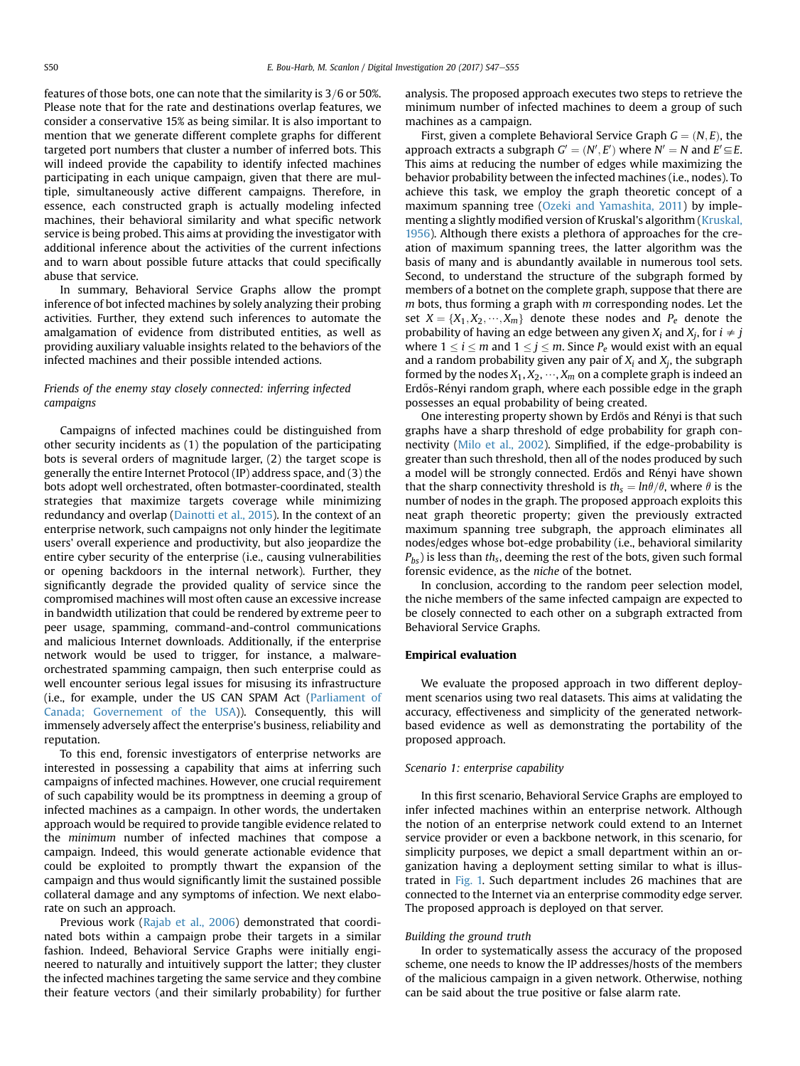<span id="page-3-0"></span>features of those bots, one can note that the similarity is  $3/6$  or 50%. Please note that for the rate and destinations overlap features, we consider a conservative 15% as being similar. It is also important to mention that we generate different complete graphs for different targeted port numbers that cluster a number of inferred bots. This will indeed provide the capability to identify infected machines participating in each unique campaign, given that there are multiple, simultaneously active different campaigns. Therefore, in essence, each constructed graph is actually modeling infected machines, their behavioral similarity and what specific network service is being probed. This aims at providing the investigator with additional inference about the activities of the current infections and to warn about possible future attacks that could specifically abuse that service.

In summary, Behavioral Service Graphs allow the prompt inference of bot infected machines by solely analyzing their probing activities. Further, they extend such inferences to automate the amalgamation of evidence from distributed entities, as well as providing auxiliary valuable insights related to the behaviors of the infected machines and their possible intended actions.

## Friends of the enemy stay closely connected: inferring infected campaigns

Campaigns of infected machines could be distinguished from other security incidents as (1) the population of the participating bots is several orders of magnitude larger, (2) the target scope is generally the entire Internet Protocol (IP) address space, and (3) the bots adopt well orchestrated, often botmaster-coordinated, stealth strategies that maximize targets coverage while minimizing redundancy and overlap ([Dainotti et al., 2015](#page-7-0)). In the context of an enterprise network, such campaigns not only hinder the legitimate users' overall experience and productivity, but also jeopardize the entire cyber security of the enterprise (i.e., causing vulnerabilities or opening backdoors in the internal network). Further, they significantly degrade the provided quality of service since the compromised machines will most often cause an excessive increase in bandwidth utilization that could be rendered by extreme peer to peer usage, spamming, command-and-control communications and malicious Internet downloads. Additionally, if the enterprise network would be used to trigger, for instance, a malwareorchestrated spamming campaign, then such enterprise could as well encounter serious legal issues for misusing its infrastructure (i.e., for example, under the US CAN SPAM Act [\(Parliament of](#page-8-0) [Canada; Governement of the USA\)](#page-8-0)). Consequently, this will immensely adversely affect the enterprise's business, reliability and reputation.

To this end, forensic investigators of enterprise networks are interested in possessing a capability that aims at inferring such campaigns of infected machines. However, one crucial requirement of such capability would be its promptness in deeming a group of infected machines as a campaign. In other words, the undertaken approach would be required to provide tangible evidence related to the minimum number of infected machines that compose a campaign. Indeed, this would generate actionable evidence that could be exploited to promptly thwart the expansion of the campaign and thus would significantly limit the sustained possible collateral damage and any symptoms of infection. We next elaborate on such an approach.

Previous work ([Rajab et al., 2006](#page-8-0)) demonstrated that coordinated bots within a campaign probe their targets in a similar fashion. Indeed, Behavioral Service Graphs were initially engineered to naturally and intuitively support the latter; they cluster the infected machines targeting the same service and they combine their feature vectors (and their similarly probability) for further analysis. The proposed approach executes two steps to retrieve the minimum number of infected machines to deem a group of such machines as a campaign.

First, given a complete Behavioral Service Graph  $G = (N, E)$ , the approach extracts a subgraph  $G' = (N', E')$  where  $N' = N$  and  $E' \subseteq E$ .<br>This aims at reducing the number of edges while maximizing the This aims at reducing the number of edges while maximizing the behavior probability between the infected machines (i.e., nodes). To achieve this task, we employ the graph theoretic concept of a maximum spanning tree [\(Ozeki and Yamashita, 2011\)](#page-8-0) by implementing a slightly modified version of Kruskal's algorithm ([Kruskal,](#page-7-0) [1956](#page-7-0)). Although there exists a plethora of approaches for the creation of maximum spanning trees, the latter algorithm was the basis of many and is abundantly available in numerous tool sets. Second, to understand the structure of the subgraph formed by members of a botnet on the complete graph, suppose that there are  $m$  bots, thus forming a graph with  $m$  corresponding nodes. Let the set  $X = \{X_1, X_2, \dots, X_m\}$  denote these nodes and  $P_e$  denote the probability of having an edge between any given  $X_i$  and  $X_j$ , for  $i \neq j$ where  $1 \le i \le m$  and  $1 \le j \le m$ . Since  $P_e$  would exist with an equal and a random probability given any pair of  $X_i$  and  $X_i$ , the subgraph formed by the nodes  $X_1, X_2, \dots, X_m$  on a complete graph is indeed an Erdős-Rényi random graph, where each possible edge in the graph possesses an equal probability of being created.

One interesting property shown by Erdős and Rényi is that such graphs have a sharp threshold of edge probability for graph connectivity [\(Milo et al., 2002](#page-8-0)). Simplified, if the edge-probability is greater than such threshold, then all of the nodes produced by such a model will be strongly connected. Erdős and Rényi have shown that the sharp connectivity threshold is  $th_s = ln\theta/\theta$ , where  $\theta$  is the number of nodes in the graph. The proposed approach exploits this neat graph theoretic property; given the previously extracted maximum spanning tree subgraph, the approach eliminates all nodes/edges whose bot-edge probability (i.e., behavioral similarity  $P_{bs}$ ) is less than th<sub>s</sub>, deeming the rest of the bots, given such formal forensic evidence, as the niche of the botnet.

In conclusion, according to the random peer selection model, the niche members of the same infected campaign are expected to be closely connected to each other on a subgraph extracted from Behavioral Service Graphs.

#### Empirical evaluation

We evaluate the proposed approach in two different deployment scenarios using two real datasets. This aims at validating the accuracy, effectiveness and simplicity of the generated networkbased evidence as well as demonstrating the portability of the proposed approach.

## Scenario 1: enterprise capability

In this first scenario, Behavioral Service Graphs are employed to infer infected machines within an enterprise network. Although the notion of an enterprise network could extend to an Internet service provider or even a backbone network, in this scenario, for simplicity purposes, we depict a small department within an organization having a deployment setting similar to what is illustrated in [Fig. 1.](#page-4-0) Such department includes 26 machines that are connected to the Internet via an enterprise commodity edge server. The proposed approach is deployed on that server.

#### Building the ground truth

In order to systematically assess the accuracy of the proposed scheme, one needs to know the IP addresses/hosts of the members of the malicious campaign in a given network. Otherwise, nothing can be said about the true positive or false alarm rate.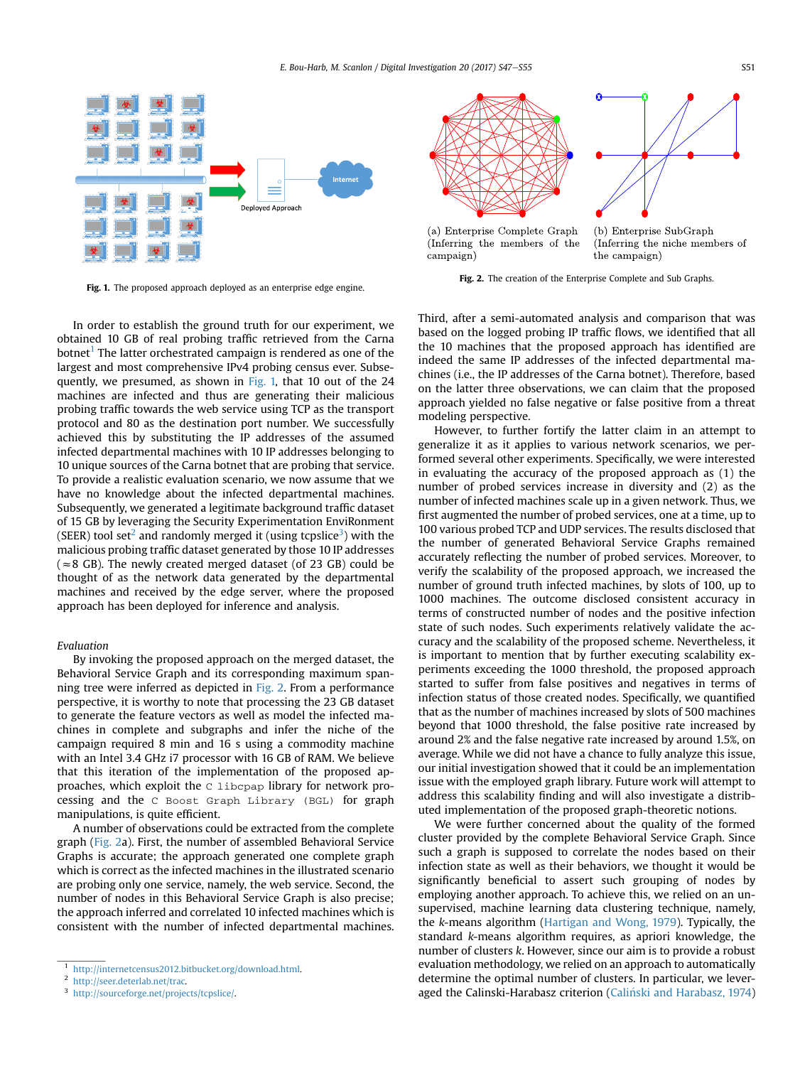<span id="page-4-0"></span>

Fig. 1. The proposed approach deployed as an enterprise edge engine.

In order to establish the ground truth for our experiment, we obtained 10 GB of real probing traffic retrieved from the Carna botnet<sup>1</sup> The latter orchestrated campaign is rendered as one of the largest and most comprehensive IPv4 probing census ever. Subsequently, we presumed, as shown in Fig. 1, that 10 out of the 24 machines are infected and thus are generating their malicious probing traffic towards the web service using TCP as the transport protocol and 80 as the destination port number. We successfully achieved this by substituting the IP addresses of the assumed infected departmental machines with 10 IP addresses belonging to 10 unique sources of the Carna botnet that are probing that service. To provide a realistic evaluation scenario, we now assume that we have no knowledge about the infected departmental machines. Subsequently, we generated a legitimate background traffic dataset of 15 GB by leveraging the Security Experimentation EnviRonment (SEER) tool set<sup>2</sup> and randomly merged it (using tcpslice<sup>3</sup>) with the malicious probing traffic dataset generated by those 10 IP addresses  $(z \approx 8 \text{ GB})$ . The newly created merged dataset (of 23 GB) could be thought of as the network data generated by the departmental machines and received by the edge server, where the proposed approach has been deployed for inference and analysis.

#### Evaluation

By invoking the proposed approach on the merged dataset, the Behavioral Service Graph and its corresponding maximum spanning tree were inferred as depicted in Fig. 2. From a performance perspective, it is worthy to note that processing the 23 GB dataset to generate the feature vectors as well as model the infected machines in complete and subgraphs and infer the niche of the campaign required 8 min and 16 s using a commodity machine with an Intel 3.4 GHz i7 processor with 16 GB of RAM. We believe that this iteration of the implementation of the proposed approaches, which exploit the  $C$  libcpap library for network processing and the C Boost Graph Library (BGL) for graph manipulations, is quite efficient.

A number of observations could be extracted from the complete graph (Fig. 2a). First, the number of assembled Behavioral Service Graphs is accurate; the approach generated one complete graph which is correct as the infected machines in the illustrated scenario are probing only one service, namely, the web service. Second, the number of nodes in this Behavioral Service Graph is also precise; the approach inferred and correlated 10 infected machines which is consistent with the number of infected departmental machines.



Fig. 2. The creation of the Enterprise Complete and Sub Graphs.

Third, after a semi-automated analysis and comparison that was based on the logged probing IP traffic flows, we identified that all the 10 machines that the proposed approach has identified are indeed the same IP addresses of the infected departmental machines (i.e., the IP addresses of the Carna botnet). Therefore, based on the latter three observations, we can claim that the proposed approach yielded no false negative or false positive from a threat modeling perspective.

However, to further fortify the latter claim in an attempt to generalize it as it applies to various network scenarios, we performed several other experiments. Specifically, we were interested in evaluating the accuracy of the proposed approach as (1) the number of probed services increase in diversity and (2) as the number of infected machines scale up in a given network. Thus, we first augmented the number of probed services, one at a time, up to 100 various probed TCP and UDP services. The results disclosed that the number of generated Behavioral Service Graphs remained accurately reflecting the number of probed services. Moreover, to verify the scalability of the proposed approach, we increased the number of ground truth infected machines, by slots of 100, up to 1000 machines. The outcome disclosed consistent accuracy in terms of constructed number of nodes and the positive infection state of such nodes. Such experiments relatively validate the accuracy and the scalability of the proposed scheme. Nevertheless, it is important to mention that by further executing scalability experiments exceeding the 1000 threshold, the proposed approach started to suffer from false positives and negatives in terms of infection status of those created nodes. Specifically, we quantified that as the number of machines increased by slots of 500 machines beyond that 1000 threshold, the false positive rate increased by around 2% and the false negative rate increased by around 1.5%, on average. While we did not have a chance to fully analyze this issue, our initial investigation showed that it could be an implementation issue with the employed graph library. Future work will attempt to address this scalability finding and will also investigate a distributed implementation of the proposed graph-theoretic notions.

We were further concerned about the quality of the formed cluster provided by the complete Behavioral Service Graph. Since such a graph is supposed to correlate the nodes based on their infection state as well as their behaviors, we thought it would be significantly beneficial to assert such grouping of nodes by employing another approach. To achieve this, we relied on an unsupervised, machine learning data clustering technique, namely, the k-means algorithm [\(Hartigan and Wong, 1979\)](#page-7-0). Typically, the standard k-means algorithm requires, as apriori knowledge, the number of clusters k. However, since our aim is to provide a robust evaluation methodology, we relied on an approach to automatically determine the optimal number of clusters. In particular, we leveraged the Calinski-Harabasz criterion (Caliński and Harabasz, 1974)

<sup>&</sup>lt;sup>1</sup> <http://internetcensus2012.bitbucket.org/download.html>.<br><sup>2</sup> http://acca.detailab.net/ince

 $\frac{2 \text{ http://seer.deterlab.net/trac.}}{3 \text{ http://seur.ceforge net/trage.}}$  $\frac{2 \text{ http://seer.deterlab.net/trac.}}{3 \text{ http://seur.ceforge net/trage.}}$  $\frac{2 \text{ http://seer.deterlab.net/trac.}}{3 \text{ http://seur.ceforge net/trage.}}$ 

<sup>3</sup> [http://sourceforge.net/projects/tcpslice/.](http://sourceforge.net/projects/tcpslice/)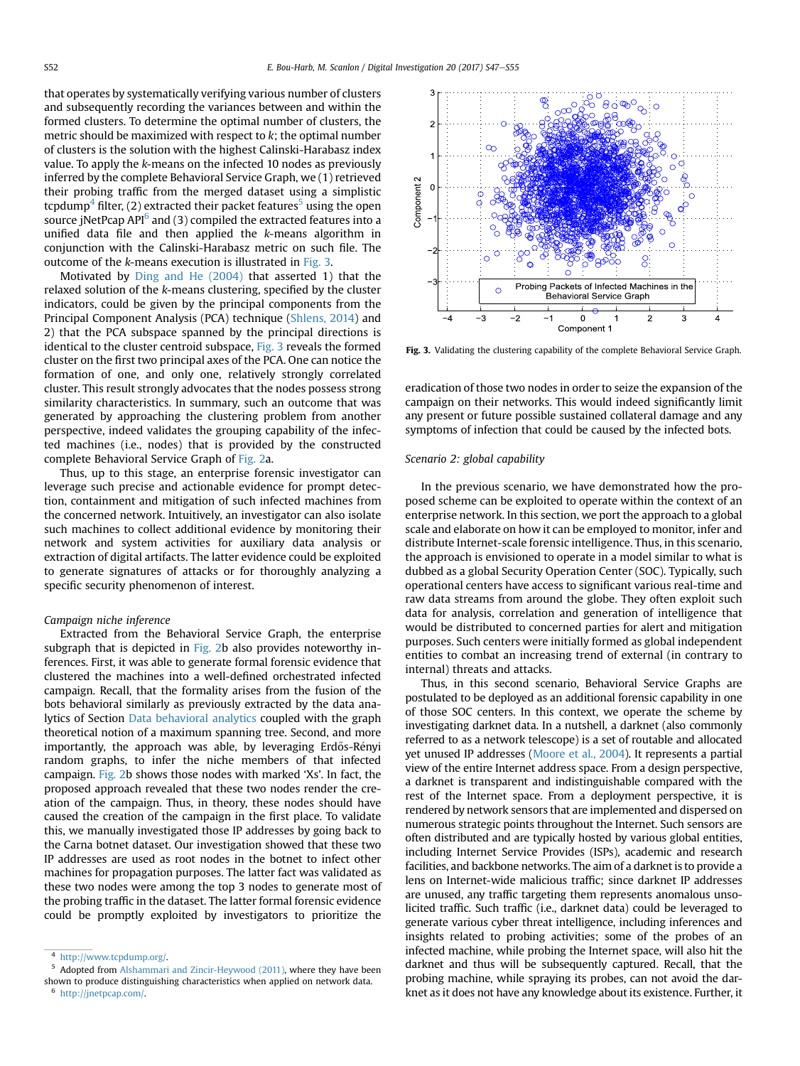that operates by systematically verifying various number of clusters and subsequently recording the variances between and within the formed clusters. To determine the optimal number of clusters, the metric should be maximized with respect to  $k$ ; the optimal number of clusters is the solution with the highest Calinski-Harabasz index value. To apply the k-means on the infected 10 nodes as previously inferred by the complete Behavioral Service Graph, we (1) retrieved their probing traffic from the merged dataset using a simplistic tcpdump<sup>4</sup> filter, (2) extracted their packet features<sup>5</sup> using the open source jNetPcap  $API^6$  and (3) compiled the extracted features into a unified data file and then applied the k-means algorithm in conjunction with the Calinski-Harabasz metric on such file. The outcome of the k-means execution is illustrated in Fig. 3.

Motivated by [Ding and He \(2004\)](#page-7-0) that asserted 1) that the relaxed solution of the k-means clustering, specified by the cluster indicators, could be given by the principal components from the Principal Component Analysis (PCA) technique [\(Shlens, 2014\)](#page-8-0) and 2) that the PCA subspace spanned by the principal directions is identical to the cluster centroid subspace, Fig. 3 reveals the formed cluster on the first two principal axes of the PCA. One can notice the formation of one, and only one, relatively strongly correlated cluster. This result strongly advocates that the nodes possess strong similarity characteristics. In summary, such an outcome that was generated by approaching the clustering problem from another perspective, indeed validates the grouping capability of the infected machines (i.e., nodes) that is provided by the constructed complete Behavioral Service Graph of [Fig. 2a](#page-4-0).

Thus, up to this stage, an enterprise forensic investigator can leverage such precise and actionable evidence for prompt detection, containment and mitigation of such infected machines from the concerned network. Intuitively, an investigator can also isolate such machines to collect additional evidence by monitoring their network and system activities for auxiliary data analysis or extraction of digital artifacts. The latter evidence could be exploited to generate signatures of attacks or for thoroughly analyzing a specific security phenomenon of interest.

#### Campaign niche inference

Extracted from the Behavioral Service Graph, the enterprise subgraph that is depicted in [Fig. 2](#page-4-0)b also provides noteworthy inferences. First, it was able to generate formal forensic evidence that clustered the machines into a well-defined orchestrated infected campaign. Recall, that the formality arises from the fusion of the bots behavioral similarly as previously extracted by the data analytics of Section [Data behavioral analytics](#page-1-0) coupled with the graph theoretical notion of a maximum spanning tree. Second, and more importantly, the approach was able, by leveraging Erdős-Rényi random graphs, to infer the niche members of that infected campaign. [Fig. 2b](#page-4-0) shows those nodes with marked 'Xs'. In fact, the proposed approach revealed that these two nodes render the creation of the campaign. Thus, in theory, these nodes should have caused the creation of the campaign in the first place. To validate this, we manually investigated those IP addresses by going back to the Carna botnet dataset. Our investigation showed that these two IP addresses are used as root nodes in the botnet to infect other machines for propagation purposes. The latter fact was validated as these two nodes were among the top 3 nodes to generate most of the probing traffic in the dataset. The latter formal forensic evidence could be promptly exploited by investigators to prioritize the



Fig. 3. Validating the clustering capability of the complete Behavioral Service Graph.

eradication of those two nodes in order to seize the expansion of the campaign on their networks. This would indeed significantly limit any present or future possible sustained collateral damage and any symptoms of infection that could be caused by the infected bots.

## Scenario 2: global capability

In the previous scenario, we have demonstrated how the proposed scheme can be exploited to operate within the context of an enterprise network. In this section, we port the approach to a global scale and elaborate on how it can be employed to monitor, infer and distribute Internet-scale forensic intelligence. Thus, in this scenario, the approach is envisioned to operate in a model similar to what is dubbed as a global Security Operation Center (SOC). Typically, such operational centers have access to significant various real-time and raw data streams from around the globe. They often exploit such data for analysis, correlation and generation of intelligence that would be distributed to concerned parties for alert and mitigation purposes. Such centers were initially formed as global independent entities to combat an increasing trend of external (in contrary to internal) threats and attacks.

Thus, in this second scenario, Behavioral Service Graphs are postulated to be deployed as an additional forensic capability in one of those SOC centers. In this context, we operate the scheme by investigating darknet data. In a nutshell, a darknet (also commonly referred to as a network telescope) is a set of routable and allocated yet unused IP addresses ([Moore et al., 2004](#page-8-0)). It represents a partial view of the entire Internet address space. From a design perspective, a darknet is transparent and indistinguishable compared with the rest of the Internet space. From a deployment perspective, it is rendered by network sensors that are implemented and dispersed on numerous strategic points throughout the Internet. Such sensors are often distributed and are typically hosted by various global entities, including Internet Service Provides (ISPs), academic and research facilities, and backbone networks. The aim of a darknet is to provide a lens on Internet-wide malicious traffic; since darknet IP addresses are unused, any traffic targeting them represents anomalous unsolicited traffic. Such traffic (i.e., darknet data) could be leveraged to generate various cyber threat intelligence, including inferences and insights related to probing activities; some of the probes of an infected machine, while probing the Internet space, will also hit the darknet and thus will be subsequently captured. Recall, that the probing machine, while spraying its probes, can not avoid the darknet as it does not have any knowledge about its existence. Further, it

<sup>4</sup> [http://www.tcpdump.org/.](http://www.tcpdump.org/)

<sup>5</sup> Adopted from [Alshammari and Zincir-Heywood \(2011\),](#page-7-0) where they have been

shown to produce distinguishing characteristics when applied on network data. <sup>6</sup> <http://jnetpcap.com/>.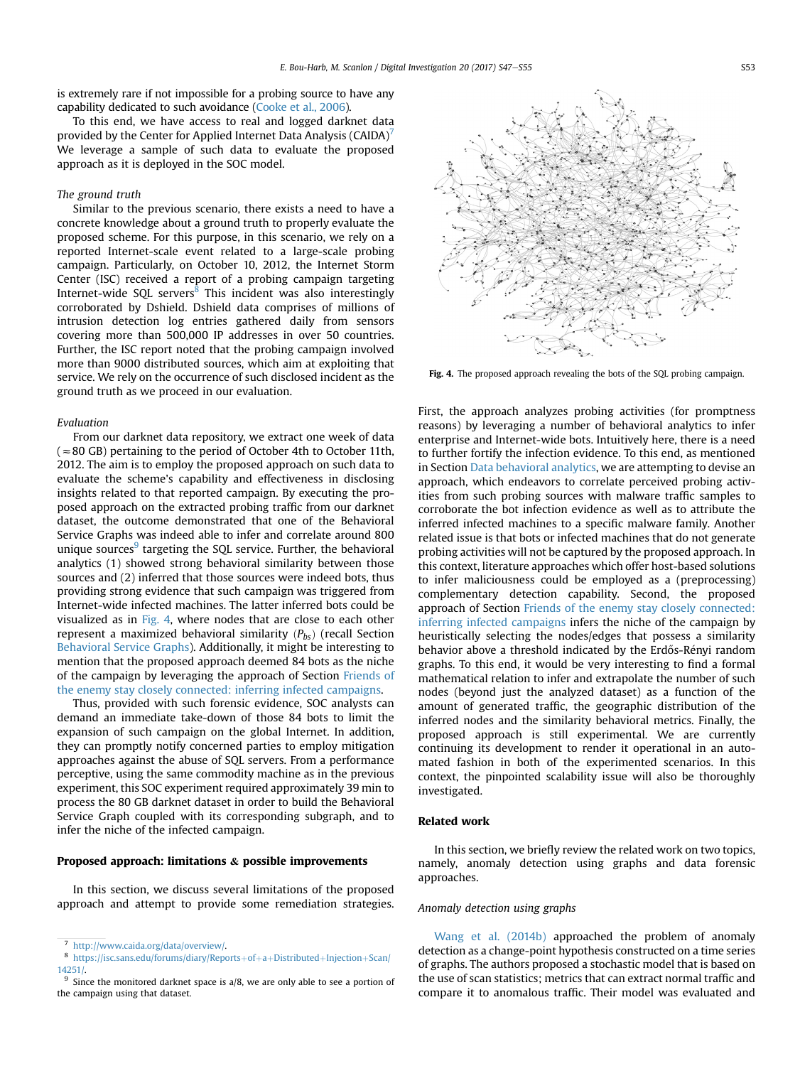<span id="page-6-0"></span>is extremely rare if not impossible for a probing source to have any capability dedicated to such avoidance [\(Cooke et al., 2006](#page-7-0)).

To this end, we have access to real and logged darknet data provided by the Center for Applied Internet Data Analysis (CAIDA) $\overline{7}$ We leverage a sample of such data to evaluate the proposed approach as it is deployed in the SOC model.

## The ground truth

Similar to the previous scenario, there exists a need to have a concrete knowledge about a ground truth to properly evaluate the proposed scheme. For this purpose, in this scenario, we rely on a reported Internet-scale event related to a large-scale probing campaign. Particularly, on October 10, 2012, the Internet Storm Center (ISC) received a report of a probing campaign targeting Internet-wide SQL servers $\frac{8}{3}$  This incident was also interestingly corroborated by Dshield. Dshield data comprises of millions of intrusion detection log entries gathered daily from sensors covering more than 500,000 IP addresses in over 50 countries. Further, the ISC report noted that the probing campaign involved more than 9000 distributed sources, which aim at exploiting that service. We rely on the occurrence of such disclosed incident as the ground truth as we proceed in our evaluation.

#### Evaluation

From our darknet data repository, we extract one week of data  $(z \approx 80 \text{ GB})$  pertaining to the period of October 4th to October 11th, 2012. The aim is to employ the proposed approach on such data to evaluate the scheme's capability and effectiveness in disclosing insights related to that reported campaign. By executing the proposed approach on the extracted probing traffic from our darknet dataset, the outcome demonstrated that one of the Behavioral Service Graphs was indeed able to infer and correlate around 800 unique sources $9$  targeting the SQL service. Further, the behavioral analytics (1) showed strong behavioral similarity between those sources and (2) inferred that those sources were indeed bots, thus providing strong evidence that such campaign was triggered from Internet-wide infected machines. The latter inferred bots could be visualized as in Fig. 4, where nodes that are close to each other represent a maximized behavioral similarity  $(P_{bs})$  (recall Section [Behavioral Service Graphs\)](#page-2-0). Additionally, it might be interesting to mention that the proposed approach deemed 84 bots as the niche of the campaign by leveraging the approach of Section [Friends of](#page-3-0) [the enemy stay closely connected: inferring infected campaigns.](#page-3-0)

Thus, provided with such forensic evidence, SOC analysts can demand an immediate take-down of those 84 bots to limit the expansion of such campaign on the global Internet. In addition, they can promptly notify concerned parties to employ mitigation approaches against the abuse of SQL servers. From a performance perceptive, using the same commodity machine as in the previous experiment, this SOC experiment required approximately 39 min to process the 80 GB darknet dataset in order to build the Behavioral Service Graph coupled with its corresponding subgraph, and to infer the niche of the infected campaign.

#### Proposed approach: limitations & possible improvements

In this section, we discuss several limitations of the proposed approach and attempt to provide some remediation strategies.



Fig. 4. The proposed approach revealing the bots of the SQL probing campaign.

First, the approach analyzes probing activities (for promptness reasons) by leveraging a number of behavioral analytics to infer enterprise and Internet-wide bots. Intuitively here, there is a need to further fortify the infection evidence. To this end, as mentioned in Section [Data behavioral analytics,](#page-1-0) we are attempting to devise an approach, which endeavors to correlate perceived probing activities from such probing sources with malware traffic samples to corroborate the bot infection evidence as well as to attribute the inferred infected machines to a specific malware family. Another related issue is that bots or infected machines that do not generate probing activities will not be captured by the proposed approach. In this context, literature approaches which offer host-based solutions to infer maliciousness could be employed as a (preprocessing) complementary detection capability. Second, the proposed approach of Section [Friends of the enemy stay closely connected:](#page-3-0) [inferring infected campaigns](#page-3-0) infers the niche of the campaign by heuristically selecting the nodes/edges that possess a similarity behavior above a threshold indicated by the Erdős-Rényi random graphs. To this end, it would be very interesting to find a formal mathematical relation to infer and extrapolate the number of such nodes (beyond just the analyzed dataset) as a function of the amount of generated traffic, the geographic distribution of the inferred nodes and the similarity behavioral metrics. Finally, the proposed approach is still experimental. We are currently continuing its development to render it operational in an automated fashion in both of the experimented scenarios. In this context, the pinpointed scalability issue will also be thoroughly investigated.

## Related work

In this section, we briefly review the related work on two topics, namely, anomaly detection using graphs and data forensic approaches.

## Anomaly detection using graphs

[Wang et al. \(2014b\)](#page-8-0) approached the problem of anomaly detection as a change-point hypothesis constructed on a time series of graphs. The authors proposed a stochastic model that is based on the use of scan statistics; metrics that can extract normal traffic and compare it to anomalous traffic. Their model was evaluated and

<sup>7</sup> <http://www.caida.org/data/overview/>.<br>8 https://isc.sans.edu/forums/diary/Repo

[https://isc.sans.edu/forums/diary/Reports](https://isc.sans.edu/forums/diary/Reports+of+a+Distributed+Injection+Scan/14251/)+[of](https://isc.sans.edu/forums/diary/Reports+of+a+Distributed+Injection+Scan/14251/)+[a](https://isc.sans.edu/forums/diary/Reports+of+a+Distributed+Injection+Scan/14251/)+[Distributed](https://isc.sans.edu/forums/diary/Reports+of+a+Distributed+Injection+Scan/14251/)+[Injection](https://isc.sans.edu/forums/diary/Reports+of+a+Distributed+Injection+Scan/14251/)+[Scan/](https://isc.sans.edu/forums/diary/Reports+of+a+Distributed+Injection+Scan/14251/) [14251/.](https://isc.sans.edu/forums/diary/Reports+of+a+Distributed+Injection+Scan/14251/)

Since the monitored darknet space is  $a/8$ , we are only able to see a portion of the campaign using that dataset.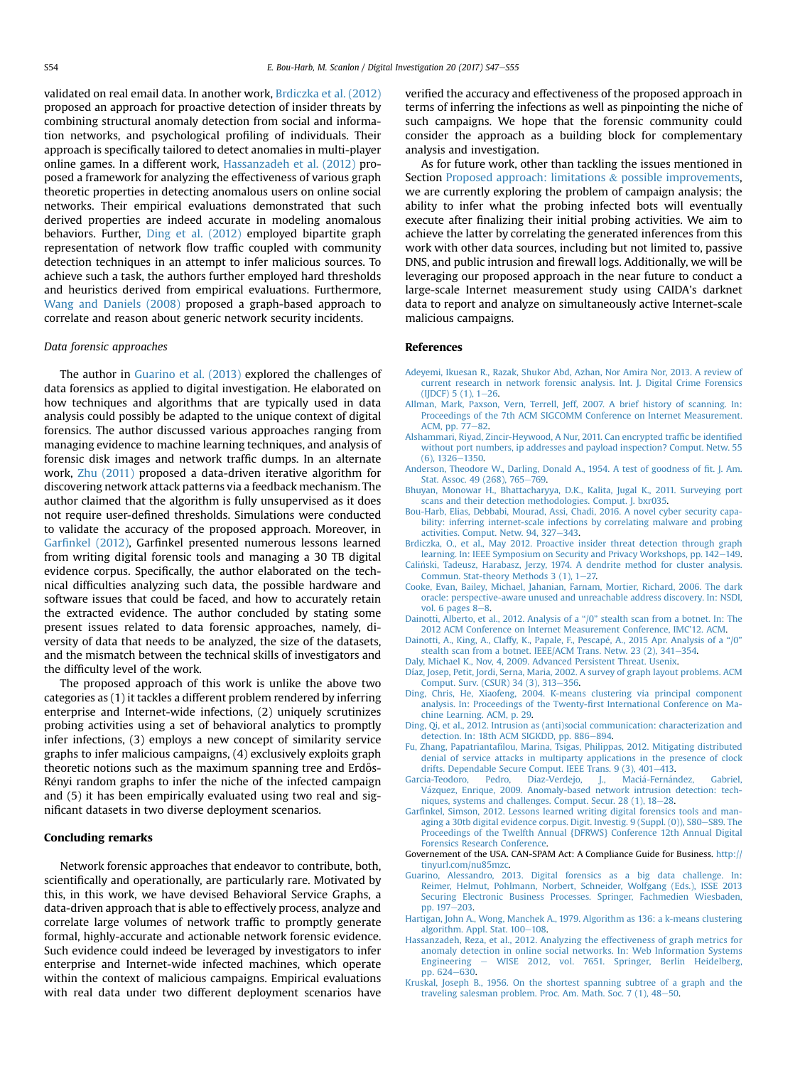<span id="page-7-0"></span>validated on real email data. In another work, Brdiczka et al. (2012) proposed an approach for proactive detection of insider threats by combining structural anomaly detection from social and information networks, and psychological profiling of individuals. Their approach is specifically tailored to detect anomalies in multi-player online games. In a different work, Hassanzadeh et al. (2012) proposed a framework for analyzing the effectiveness of various graph theoretic properties in detecting anomalous users on online social networks. Their empirical evaluations demonstrated that such derived properties are indeed accurate in modeling anomalous behaviors. Further, Ding et al. (2012) employed bipartite graph representation of network flow traffic coupled with community detection techniques in an attempt to infer malicious sources. To achieve such a task, the authors further employed hard thresholds and heuristics derived from empirical evaluations. Furthermore, [Wang and Daniels \(2008\)](#page-8-0) proposed a graph-based approach to correlate and reason about generic network security incidents.

#### Data forensic approaches

The author in Guarino et al. (2013) explored the challenges of data forensics as applied to digital investigation. He elaborated on how techniques and algorithms that are typically used in data analysis could possibly be adapted to the unique context of digital forensics. The author discussed various approaches ranging from managing evidence to machine learning techniques, and analysis of forensic disk images and network traffic dumps. In an alternate work, [Zhu \(2011\)](#page-8-0) proposed a data-driven iterative algorithm for discovering network attack patterns via a feedback mechanism. The author claimed that the algorithm is fully unsupervised as it does not require user-defined thresholds. Simulations were conducted to validate the accuracy of the proposed approach. Moreover, in Garfinkel (2012), Garfinkel presented numerous lessons learned from writing digital forensic tools and managing a 30 TB digital evidence corpus. Specifically, the author elaborated on the technical difficulties analyzing such data, the possible hardware and software issues that could be faced, and how to accurately retain the extracted evidence. The author concluded by stating some present issues related to data forensic approaches, namely, diversity of data that needs to be analyzed, the size of the datasets, and the mismatch between the technical skills of investigators and the difficulty level of the work.

The proposed approach of this work is unlike the above two categories as (1) it tackles a different problem rendered by inferring enterprise and Internet-wide infections, (2) uniquely scrutinizes probing activities using a set of behavioral analytics to promptly infer infections, (3) employs a new concept of similarity service graphs to infer malicious campaigns, (4) exclusively exploits graph theoretic notions such as the maximum spanning tree and Erdős-Rényi random graphs to infer the niche of the infected campaign and (5) it has been empirically evaluated using two real and significant datasets in two diverse deployment scenarios.

#### Concluding remarks

Network forensic approaches that endeavor to contribute, both, scientifically and operationally, are particularly rare. Motivated by this, in this work, we have devised Behavioral Service Graphs, a data-driven approach that is able to effectively process, analyze and correlate large volumes of network traffic to promptly generate formal, highly-accurate and actionable network forensic evidence. Such evidence could indeed be leveraged by investigators to infer enterprise and Internet-wide infected machines, which operate within the context of malicious campaigns. Empirical evaluations with real data under two different deployment scenarios have verified the accuracy and effectiveness of the proposed approach in terms of inferring the infections as well as pinpointing the niche of such campaigns. We hope that the forensic community could consider the approach as a building block for complementary analysis and investigation.

As for future work, other than tackling the issues mentioned in Section [Proposed approach: limitations](#page-6-0) & [possible improvements,](#page-6-0) we are currently exploring the problem of campaign analysis; the ability to infer what the probing infected bots will eventually execute after finalizing their initial probing activities. We aim to achieve the latter by correlating the generated inferences from this work with other data sources, including but not limited to, passive DNS, and public intrusion and firewall logs. Additionally, we will be leveraging our proposed approach in the near future to conduct a large-scale Internet measurement study using CAIDA's darknet data to report and analyze on simultaneously active Internet-scale malicious campaigns.

#### References

- [Adeyemi, Ikuesan R., Razak, Shukor Abd, Azhan, Nor Amira Nor, 2013. A review of](http://refhub.elsevier.com/S1742-2876(17)30046-4/sref1) [current research in network forensic analysis. Int. J. Digital Crime Forensics](http://refhub.elsevier.com/S1742-2876(17)30046-4/sref1)  $(IIIDCF) 5 (1), 1–26.$  $(IIIDCF) 5 (1), 1–26.$
- [Allman, Mark, Paxson, Vern, Terrell, Jeff, 2007. A brief history of scanning. In:](http://refhub.elsevier.com/S1742-2876(17)30046-4/sref2) [Proceedings of the 7th ACM SIGCOMM Conference on Internet Measurement.](http://refhub.elsevier.com/S1742-2876(17)30046-4/sref2) [ACM, pp. 77](http://refhub.elsevier.com/S1742-2876(17)30046-4/sref2)-[82](http://refhub.elsevier.com/S1742-2876(17)30046-4/sref2).
- [Alshammari, Riyad, Zincir-Heywood, A Nur, 2011. Can encrypted traf](http://refhub.elsevier.com/S1742-2876(17)30046-4/sref3)fic be identified [without port numbers, ip addresses and payload inspection? Comput. Netw. 55](http://refhub.elsevier.com/S1742-2876(17)30046-4/sref3)  $(6)$ , 1326–[1350.](http://refhub.elsevier.com/S1742-2876(17)30046-4/sref3)
- [Anderson, Theodore W., Darling, Donald A., 1954. A test of goodness of](http://refhub.elsevier.com/S1742-2876(17)30046-4/sref4) fit. J. Am. [Stat. Assoc. 49 \(268\), 765](http://refhub.elsevier.com/S1742-2876(17)30046-4/sref4)-[769.](http://refhub.elsevier.com/S1742-2876(17)30046-4/sref4)
- [Bhuyan, Monowar H., Bhattacharyya, D.K., Kalita, Jugal K., 2011. Surveying port](http://refhub.elsevier.com/S1742-2876(17)30046-4/sref5) [scans and their detection methodologies. Comput. J. bxr035.](http://refhub.elsevier.com/S1742-2876(17)30046-4/sref5)
- [Bou-Harb, Elias, Debbabi, Mourad, Assi, Chadi, 2016. A novel cyber security capa](http://refhub.elsevier.com/S1742-2876(17)30046-4/sref6)[bility: inferring internet-scale infections by correlating malware and probing](http://refhub.elsevier.com/S1742-2876(17)30046-4/sref6) [activities. Comput. Netw. 94, 327](http://refhub.elsevier.com/S1742-2876(17)30046-4/sref6)-[343.](http://refhub.elsevier.com/S1742-2876(17)30046-4/sref6)
- [Brdiczka, O., et al., May 2012. Proactive insider threat detection through graph](http://refhub.elsevier.com/S1742-2876(17)30046-4/sref7) [learning. In: IEEE Symposium on Security and Privacy Workshops, pp. 142](http://refhub.elsevier.com/S1742-2876(17)30046-4/sref7)–[149](http://refhub.elsevier.com/S1742-2876(17)30046-4/sref7).
- Caliński, Tadeusz, Harabasz, Jerzy, 1974. A dendrite method for cluster analysis. Commun. Stat-theory Methods  $3(1)$ ,  $1-27$ .
- [Cooke, Evan, Bailey, Michael, Jahanian, Farnam, Mortier, Richard, 2006. The dark](http://refhub.elsevier.com/S1742-2876(17)30046-4/sref9) [oracle: perspective-aware unused and unreachable address discovery. In: NSDI,](http://refhub.elsevier.com/S1742-2876(17)30046-4/sref9) vol. 6 pages  $8-8$ .
- [Dainotti, Alberto, et al., 2012. Analysis of a](http://refhub.elsevier.com/S1742-2876(17)30046-4/sref10) "/0" stealth scan from a botnet. In: The [2012 ACM Conference on Internet Measurement Conference, IMC'12. ACM](http://refhub.elsevier.com/S1742-2876(17)30046-4/sref10).
- Dainotti, A., King, A., Claffy, K., Papale, F., Pescapé, A., 2015 Apr. Analysis of a "/0" stealth scan from a botnet. IEEE/ACM Trans. Netw.  $23$  (2),  $341-354$ .
- [Daly, Michael K., Nov, 4, 2009. Advanced Persistent Threat. Usenix](http://refhub.elsevier.com/S1742-2876(17)30046-4/sref12). [Díaz, Josep, Petit, Jordi, Serna, Maria, 2002. A survey of graph layout problems. ACM](http://refhub.elsevier.com/S1742-2876(17)30046-4/sref13) [Comput. Surv. \(CSUR\) 34 \(3\), 313](http://refhub.elsevier.com/S1742-2876(17)30046-4/sref13)-[356.](http://refhub.elsevier.com/S1742-2876(17)30046-4/sref13)
- [Ding, Chris, He, Xiaofeng, 2004. K-means clustering via principal component](http://refhub.elsevier.com/S1742-2876(17)30046-4/sref14) [analysis. In: Proceedings of the Twenty-](http://refhub.elsevier.com/S1742-2876(17)30046-4/sref14)first International Conference on Ma[chine Learning. ACM, p. 29.](http://refhub.elsevier.com/S1742-2876(17)30046-4/sref14)
- [Ding, Qi, et al., 2012. Intrusion as \(anti\)social communication: characterization and](http://refhub.elsevier.com/S1742-2876(17)30046-4/sref15) [detection. In: 18th ACM SIGKDD, pp. 886](http://refhub.elsevier.com/S1742-2876(17)30046-4/sref15)-[894](http://refhub.elsevier.com/S1742-2876(17)30046-4/sref15).
- Fu, Zhang, Papatriantafi[lou, Marina, Tsigas, Philippas, 2012. Mitigating distributed](http://refhub.elsevier.com/S1742-2876(17)30046-4/sref16) [denial of service attacks in multiparty applications in the presence of clock](http://refhub.elsevier.com/S1742-2876(17)30046-4/sref16) [drifts. Dependable Secure Comput. IEEE Trans. 9 \(3\), 401](http://refhub.elsevier.com/S1742-2876(17)30046-4/sref16)–[413](http://refhub.elsevier.com/S1742-2876(17)30046-4/sref16).<br>cia-Teodoro, Pedro, Diaz-Verdejo, J., Maciá-Fernán.
- [Garcia-Teodoro, Pedro, Diaz-Verdejo, J., Maci](http://refhub.elsevier.com/S1742-2876(17)30046-4/sref17)á[-Fern](http://refhub.elsevier.com/S1742-2876(17)30046-4/sref17)ández, Gabriel [V](http://refhub.elsevier.com/S1742-2876(17)30046-4/sref17)á[zquez, Enrique, 2009. Anomaly-based network intrusion detection: tech](http://refhub.elsevier.com/S1742-2876(17)30046-4/sref17) [niques, systems and challenges. Comput. Secur. 28 \(1\), 18](http://refhub.elsevier.com/S1742-2876(17)30046-4/sref17)-[28.](http://refhub.elsevier.com/S1742-2876(17)30046-4/sref17)
- Garfi[nkel, Simson, 2012. Lessons learned writing digital forensics tools and man](http://refhub.elsevier.com/S1742-2876(17)30046-4/sref18)[aging a 30tb digital evidence corpus. Digit. Investig. 9 \(Suppl. \(0\)\), S80](http://refhub.elsevier.com/S1742-2876(17)30046-4/sref18)–[S89. The](http://refhub.elsevier.com/S1742-2876(17)30046-4/sref18) [Proceedings of the Twelfth Annual {DFRWS} Conference 12th Annual Digital](http://refhub.elsevier.com/S1742-2876(17)30046-4/sref18) [Forensics Research Conference.](http://refhub.elsevier.com/S1742-2876(17)30046-4/sref18)
- Governement of the USA. CAN-SPAM Act: A Compliance Guide for Business. [http://](http://tinyurl.com/nu85mzc) [tinyurl.com/nu85mzc.](http://tinyurl.com/nu85mzc)
- [Guarino, Alessandro, 2013. Digital forensics as a big data challenge. In:](http://refhub.elsevier.com/S1742-2876(17)30046-4/sref20) [Reimer, Helmut, Pohlmann, Norbert, Schneider, Wolfgang \(Eds.\), ISSE 2013](http://refhub.elsevier.com/S1742-2876(17)30046-4/sref20) [Securing Electronic Business Processes. Springer, Fachmedien Wiesbaden,](http://refhub.elsevier.com/S1742-2876(17)30046-4/sref20) [pp. 197](http://refhub.elsevier.com/S1742-2876(17)30046-4/sref20)-[203.](http://refhub.elsevier.com/S1742-2876(17)30046-4/sref20)
- [Hartigan, John A., Wong, Manchek A., 1979. Algorithm as 136: a k-means clustering](http://refhub.elsevier.com/S1742-2876(17)30046-4/sref21) [algorithm. Appl. Stat. 100](http://refhub.elsevier.com/S1742-2876(17)30046-4/sref21)-[108.](http://refhub.elsevier.com/S1742-2876(17)30046-4/sref21)
- [Hassanzadeh, Reza, et al., 2012. Analyzing the effectiveness of graph metrics for](http://refhub.elsevier.com/S1742-2876(17)30046-4/sref22) [anomaly detection in online social networks. In: Web Information Systems](http://refhub.elsevier.com/S1742-2876(17)30046-4/sref22) [Engineering](http://refhub.elsevier.com/S1742-2876(17)30046-4/sref22) - [WISE 2012, vol. 7651. Springer, Berlin Heidelberg,](http://refhub.elsevier.com/S1742-2876(17)30046-4/sref22) [pp. 624](http://refhub.elsevier.com/S1742-2876(17)30046-4/sref22)-[630.](http://refhub.elsevier.com/S1742-2876(17)30046-4/sref22)
- [Kruskal, Joseph B., 1956. On the shortest spanning subtree of a graph and the](http://refhub.elsevier.com/S1742-2876(17)30046-4/sref23) [traveling salesman problem. Proc. Am. Math. Soc. 7 \(1\), 48](http://refhub.elsevier.com/S1742-2876(17)30046-4/sref23)-[50](http://refhub.elsevier.com/S1742-2876(17)30046-4/sref23).